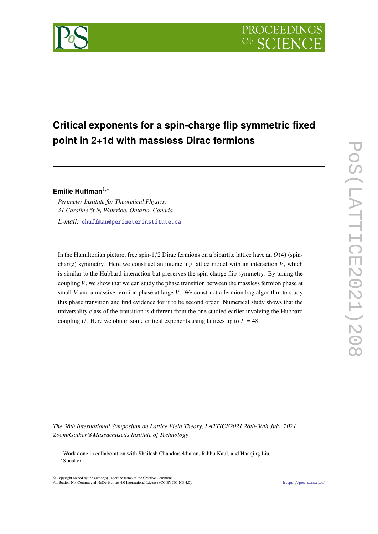

# **Critical exponents for a spin-charge flip symmetric fixed point in 2+1d with massless Dirac fermions**

## **Emilie Huffman**1,<sup>∗</sup>

*Perimeter Institute for Theoretical Physics, 31 Caroline St N, Waterloo, Ontario, Canada*

*E-mail:* [ehuffman@perimeterinstitute.ca](mailto:ehuffman@perimeterinstitute.ca)

In the Hamiltonian picture, free spin-1/2 Dirac fermions on a bipartite lattice have an  $O(4)$  (spincharge) symmetry. Here we construct an interacting lattice model with an interaction  $V$ , which is similar to the Hubbard interaction but preserves the spin-charge flip symmetry. By tuning the coupling  $V$ , we show that we can study the phase transition between the massless fermion phase at small- $V$  and a massive fermion phase at large- $V$ . We construct a fermion bag algorithm to study this phase transition and find evidence for it to be second order. Numerical study shows that the universality class of the transition is different from the one studied earlier involving the Hubbard coupling U. Here we obtain some critical exponents using lattices up to  $L = 48$ .

*The 38th International Symposium on Lattice Field Theory, LATTICE2021 26th-30th July, 2021 Zoom/Gather@Massachusetts Institute of Technology*

 $\odot$  Copyright owned by the author(s) under the terms of the Creative Common Attribution-NonCommercial-NoDerivatives 4.0 International License (CC BY-NC-ND 4.0). <https://pos.sissa.it/>

<sup>1</sup>Work done in collaboration with Shailesh Chandrasekharan, Ribhu Kaul, and Hanqing Liu <sup>∗</sup>Speaker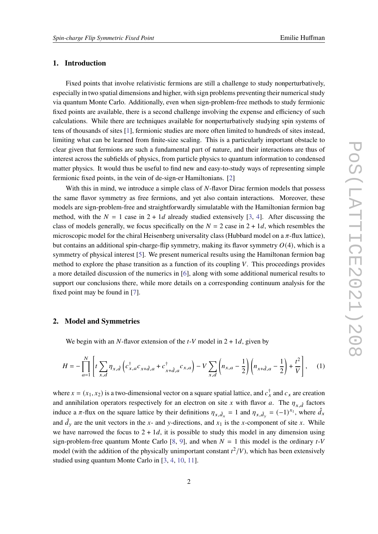## **1. Introduction**

Fixed points that involve relativistic fermions are still a challenge to study nonperturbatively, especially in two spatial dimensions and higher, with sign problems preventing their numerical study via quantum Monte Carlo. Additionally, even when sign-problem-free methods to study fermionic fixed points are available, there is a second challenge involving the expense and efficiency of such calculations. While there are techniques available for nonperturbatively studying spin systems of tens of thousands of sites [\[1\]](#page-7-0), fermionic studies are more often limited to hundreds of sites instead, limiting what can be learned from finite-size scaling. This is a particularly important obstacle to clear given that fermions are such a fundamental part of nature, and their interactions are thus of interest across the subfields of physics, from particle physics to quantum information to condensed matter physics. It would thus be useful to find new and easy-to-study ways of representing simple fermionic fixed points, in the vein of de-sign-er Hamiltonians. [\[2\]](#page-7-1)

With this in mind, we introduce a simple class of  $N$ -flavor Dirac fermion models that possess the same flavor symmetry as free fermions, and yet also contain interactions. Moreover, these models are sign-problem-free and straightforwardly simulatable with the Hamiltonian fermion bag method, with the  $N = 1$  case in  $2 + 1d$  already studied extensively [\[3,](#page-7-2) [4\]](#page-7-3). After discussing the class of models generally, we focus specifically on the  $N = 2$  case in  $2 + 1d$ , which resembles the microscopic model for the chiral Heisenberg universality class (Hubbard model on a  $\pi$ -flux lattice), but contains an additional spin-charge-flip symmetry, making its flavor symmetry  $O(4)$ , which is a symmetry of physical interest [\[5\]](#page-8-0). We present numerical results using the Hamiltonan fermion bag method to explore the phase transition as a function of its coupling  $V$ . This proceedings provides a more detailed discussion of the numerics in [\[6\]](#page-8-1), along with some additional numerical results to support our conclusions there, while more details on a corresponding continuum analysis for the fixed point may be found in [\[7\]](#page-8-2).

#### **2. Model and Symmetries**

We begin with an N-flavor extension of the  $t$ -V model in  $2 + 1d$ , given by

<span id="page-1-0"></span>
$$
H = -\prod_{a=1}^{N} \left[ t \sum_{x,d} \eta_{x,\hat{d}} \left( c_{x,a}^{\dagger} c_{x+\hat{d},a} + c_{x+\hat{d},a}^{\dagger} c_{x,a} \right) - V \sum_{x,d} \left( n_{x,a} - \frac{1}{2} \right) \left( n_{x+\hat{d},a} - \frac{1}{2} \right) + \frac{t^2}{V} \right],
$$
 (1)

where  $x = (x_1, x_2)$  is a two-dimensional vector on a square spatial lattice, and  $c_x^{\dagger}$  and  $c_x$  are creation and annihilation operators respectively for an electron on site x with flavor a. The  $\eta_{x, \hat{d}}$  factors induce a  $\pi$ -flux on the square lattice by their definitions  $\eta_{x,\hat{d}_x} = 1$  and  $\eta_{x,\hat{d}_y} = (-1)^{x_1}$ , where  $\hat{d}_x$ and  $\hat{d}_y$  are the unit vectors in the x- and y-directions, and  $x_1$  is the x-component of site x. While we have narrowed the focus to  $2 + 1d$ , it is possible to study this model in any dimension using sign-problem-free quantum Monte Carlo [\[8,](#page-8-3) [9\]](#page-8-4), and when  $N = 1$  this model is the ordinary t-V model (with the addition of the physically unimportant constant  $t^2/V$ ), which has been extensively studied using quantum Monte Carlo in [\[3,](#page-7-2) [4,](#page-7-3) [10,](#page-8-5) [11\]](#page-8-6).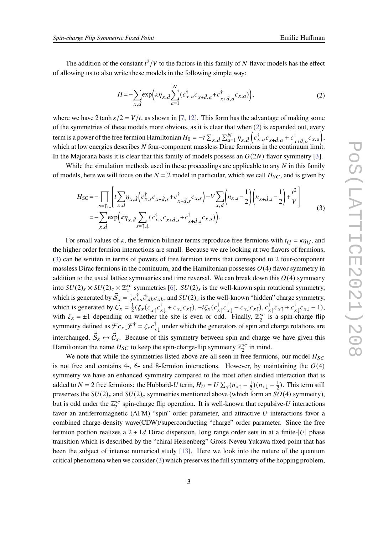The addition of the constant  $t^2/V$  to the factors in this family of N-flavor models has the effect of allowing us to also write these models in the following simple way:

<span id="page-2-0"></span>
$$
H = -\sum_{x,\hat{d}} \exp\left(\kappa \eta_{x,\hat{d}} \sum_{a=1}^{N} (c_{x,a}^{\dagger} c_{x+\hat{d},a} + c_{x+\hat{d},a}^{\dagger} c_{x,a})\right),\tag{2}
$$

where we have 2 tanh  $\kappa/2 = V/t$ , as shown in [\[7,](#page-8-2) [12\]](#page-8-7). This form has the advantage of making some of the symmetries of these models more obvious, as it is clear that when [\(2\)](#page-2-0) is expanded out, every term is a power of the free fermion Hamiltonian  $H_0 = -t \sum_{x,d} \sum_{a=1}^N \eta_{x,d} \left( c_{x,a}^\dagger c_{x+d,a} + c_{x,a}^\dagger c_{x,a}^{\dagger} c_{x+a} \right)$  ${}^{\dagger}_{x+\hat{d},a}c_{x,a}$ , which at low energies describes  $N$  four-component massless Dirac fermions in the continuum limit. In the Majorana basis it is clear that this family of models possess an  $O(2N)$  flavor symmetry [\[3\]](#page-7-2).

While the simulation methods used in these proceedings are applicable to any  $N$  in this family of models, here we will focus on the  $N = 2$  model in particular, which we call  $H_{SC}$ , and is given by

<span id="page-2-1"></span>
$$
H_{SC} = -\prod_{s=\uparrow,\downarrow} \left[ t \sum_{x,d} \eta_{x,\hat{d}} \left( c_{x,s}^{\dagger} c_{x+\hat{d},s} + c_{x+\hat{d},s}^{\dagger} c_{x,s} \right) - V \sum_{x,d} \left( n_{x,s} - \frac{1}{2} \right) \left( n_{x+\hat{d},s} - \frac{1}{2} \right) + \frac{t^2}{V} \right]
$$
  
=  $-\sum_{x,\hat{d}} \exp \left( \kappa \eta_{x,\hat{d}} \sum_{s=\uparrow,\downarrow} (c_{x,s}^{\dagger} c_{x+\hat{d},s} + c_{x+\hat{d},s}^{\dagger} c_{x,s}) \right).$  (3)

For small values of  $\kappa$ , the fermion bilinear terms reproduce free fermions with  $t_{ij} = \kappa \eta_{ij}$ , and the higher order fermion interactions are small. Because we are looking at two flavors of fermions, [\(3\)](#page-2-1) can be written in terms of powers of free fermion terms that correspond to 2 four-component massless Dirac fermions in the continuum, and the Hamiltonian possesses  $O(4)$  flavor symmetry in addition to the usual lattice symmetries and time reversal. We can break down this  $O(4)$  symmetry into  $SU(2)_s \times SU(2)_c \times \mathbb{Z}_2^{sc}$  $_2^{sc}$  symmetries [\[6\]](#page-8-1).  $SU(2)_s$  is the well-known spin rotational symmetry, which is generated by  $\vec{S}_x = \frac{1}{2}$  $\frac{1}{2}c_{xa}^{\dagger}\vec{\sigma}_{ab}c_{xb}$ , and  $SU(2)_c$  is the well-known "hidden" charge symmetry, which is generated by  $\vec{C}_x = \frac{1}{2}$  $\frac{1}{2}(\zeta_x(c_{x\uparrow}^\dagger c_{x\downarrow}^\dagger + c_{x\downarrow} c_{x\uparrow}), -i\zeta_x(c_{x\uparrow}^\dagger c_{x\downarrow}^\dagger - c_{x\downarrow} c_{x\uparrow}), c_{x\uparrow}^\dagger c_{x\uparrow} + c_{x\downarrow}^\dagger c_{x\downarrow} - 1),$ with  $\zeta_x = \pm 1$  depending on whether the site is even or odd. Finally,  $\mathbb{Z}_2^{sc}$  $z_2^{sc}$  is a spin-charge flip symmetry defined as  $\mathcal{F} c_{x\downarrow} \mathcal{F}^{\dagger} = \zeta_x c_{x\downarrow}^{\dagger}$  under which the generators of spin and charge rotations are interchanged,  $\vec{S}_x \leftrightarrow \vec{C}_x$ . Because of this symmetry between spin and charge we have given this Hamiltonian the name  $H_{SC}$  to keep the spin-charge-flip symmetry  $\mathbb{Z}_2^{SC}$  $\frac{sc}{2}$  in mind.

We note that while the symmetries listed above are all seen in free fermions, our model  $H_{SC}$ is not free and contains 4-, 6- and 8-fermion interactions. However, by maintaining the  $O(4)$ symmetry we have an enhanced symmetry compared to the most often studied interaction that is added to  $N = 2$  free fermions: the Hubbard-U term,  $H_U = U \sum_{x} (n_{x\uparrow} - \frac{1}{2})$  $(\frac{1}{2})(n_{x\downarrow} - \frac{1}{2})$  $\frac{1}{2}$ ). This term still preserves the  $SU(2)_s$  and  $SU(2)_c$  symmetries mentioned above (which form an  $SO(4)$  symmetry), but is odd under the  $\mathbb{Z}_2^{sc}$  $_2^{sc}$  spin-charge flip operation. It is well-known that repulsive-U interactions favor an antiferromagnetic (AFM) "spin" order parameter, and attractive- $U$  interactions favor a combined charge-density wave(CDW)/superconducting "charge" order parameter. Since the free fermion portion realizes a  $2 + 1d$  Dirac dispersion, long range order sets in at a finite-|U| phase transition which is described by the "chiral Heisenberg" Gross-Neveu-Yukawa fixed point that has been the subject of intense numerical study [\[13\]](#page-8-8). Here we look into the nature of the quantum critical phenomena when we consider [\(3\)](#page-2-1) which preserves the full symmetry of the hopping problem,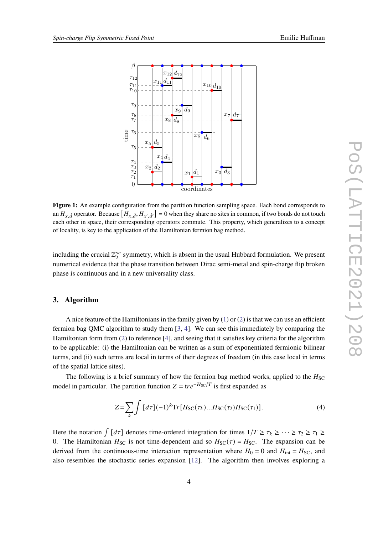

<span id="page-3-0"></span>

**Figure 1:** An example configuration from the partition function sampling space. Each bond corresponds to an  $H_{x,\hat{d}}$  operator. Because  $[H_{x,\hat{d}},H_{x',\hat{d'}}]=0$  when they share no sites in common, if two bonds do not touch each other in space, their corresponding operators commute. This property, which generalizes to a concept of locality, is key to the application of the Hamiltonian fermion bag method.

including the crucial  $\mathbb{Z}_2^{sc}$  $s_c^c$  symmetry, which is absent in the usual Hubbard formulation. We present numerical evidence that the phase transition between Dirac semi-metal and spin-charge flip broken phase is continuous and in a new universality class.

#### **3. Algorithm**

A nice feature of the Hamiltonians in the family given by  $(1)$  or  $(2)$  is that we can use an efficient fermion bag QMC algorithm to study them [\[3,](#page-7-2) [4\]](#page-7-3). We can see this immediately by comparing the Hamiltonian form from [\(2\)](#page-2-0) to reference [\[4\]](#page-7-3), and seeing that it satisfies key criteria for the algorithm to be applicable: (i) the Hamiltonian can be written as a sum of exponentiated fermionic bilinear terms, and (ii) such terms are local in terms of their degrees of freedom (in this case local in terms of the spatial lattice sites).

The following is a brief summary of how the fermion bag method works, applied to the  $H_{SC}$ model in particular. The partition function  $Z = \text{tr}e^{-H_{\text{SC}}/T}$  is first expanded as

$$
Z = \sum_{k} \int [d\tau] (-1)^k \text{Tr} [H_{\text{SC}}(\tau_k) ... H_{\text{SC}}(\tau_2) H_{\text{SC}}(\tau_1)]. \tag{4}
$$

Here the notation  $\int [d\tau]$  denotes time-ordered integration for times  $1/T \ge \tau_k \ge \cdots \ge \tau_2 \ge \tau_1 \ge \tau_k$ 0. The Hamiltonian  $H_{SC}$  is not time-dependent and so  $H_{SC}(\tau) = H_{SC}$ . The expansion can be derived from the continuous-time interaction representation where  $H_0 = 0$  and  $H_{int} = H_{SC}$ , and also resembles the stochastic series expansion [\[12\]](#page-8-7). The algorithm then involves exploring a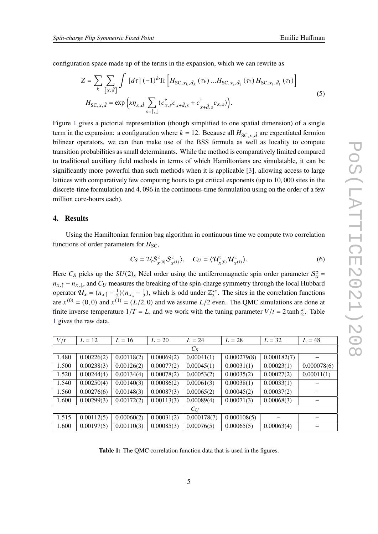configuration space made up of the terms in the expansion, which we can rewrite as

$$
Z = \sum_{k} \sum_{[x,d]} \int [d\tau] (-1)^{k} \text{Tr} \left[ H_{SC,x_{k},\hat{d}_{k}}(\tau_{k}) ... H_{SC,x_{2},\hat{d}_{2}}(\tau_{2}) H_{SC,x_{1},\hat{d}_{1}}(\tau_{1}) \right]
$$
  

$$
H_{SC,x,\hat{d}} = \exp \left( \kappa \eta_{x,\hat{d}} \sum_{s=\uparrow,\downarrow} (c_{x,s}^{\dagger} c_{x+\hat{d},s} + c_{x+\hat{d},s}^{\dagger} c_{x,s}) \right).
$$
 (5)

Figure [1](#page-3-0) gives a pictorial representation (though simplified to one spatial dimension) of a single term in the expansion: a configuration where  $k = 12$ . Because all  $H_{SC, x, \hat{d}}$  are expentiated fermion bilinear operators, we can then make use of the BSS formula as well as locality to compute transition probabilities as small determinants. While the method is comparatively limited compared to traditional auxiliary field methods in terms of which Hamiltonians are simulatable, it can be significantly more powerful than such methods when it is applicable [\[3\]](#page-7-2), allowing access to large lattices with comparatively few computing hours to get critical exponents (up to 10, 000 sites in the discrete-time formulation and 4, 096 in the continuous-time formulation using on the order of a few million core-hours each).

#### **4. Results**

Using the Hamiltonian fermion bag algorithm in continuous time we compute two correlation functions of order parameters for  $H<sub>SC</sub>$ ,

$$
C_S = 2\langle \mathcal{S}_{X^{(0)}}^z \mathcal{S}_{X^{(1)}}^z \rangle, \quad C_U = \langle \mathcal{U}_{X^{(0)}}^z \mathcal{U}_{X^{(1)}}^z \rangle.
$$
 (6)

Here  $C_S$  picks up the  $SU(2)_s$  Néel order using the antiferromagnetic spin order parameter  $S_x^z =$  $n_{x,\uparrow} - n_{x,\downarrow}$ , and  $C_U$  measures the breaking of the spin-charge symmetry through the local Hubbard operator  $\mathcal{U}_x = (n_{x\uparrow} - \frac{1}{2})$  $(\frac{1}{2})(n_{x\downarrow}-\frac{1}{2})$  $\frac{1}{2}$ ), which is odd under  $\mathbb{Z}_2^{sc}$  $2^{sc}$ . The sites in the correlation functions are  $x^{(0)} = (0,0)$  and  $x^{(1)} = (L/2,0)$  and we assume  $L/2$  even. The QMC simulations are done at finite inverse temperature  $1/T = L$ , and we work with the tuning parameter  $V/t = 2 \tanh \frac{\kappa}{2}$ . Table [1](#page-4-0) gives the raw data.

<span id="page-4-0"></span>

| $L=12$     | $L = 16$   | $L = 20$   | $L = 24$    | $L = 28$    | $L = 32$    | $L = 48$    |
|------------|------------|------------|-------------|-------------|-------------|-------------|
| $C_S$      |            |            |             |             |             |             |
| 0.00226(2) | 0.00118(2) | 0.00069(2) | 0.00041(1)  | 0.000279(8) | 0.000182(7) |             |
| 0.00238(3) | 0.00126(2) | 0.00077(2) | 0.00045(1)  | 0.00031(1)  | 0.00023(1)  | 0.000078(6) |
| 0.00244(4) | 0.00134(4) | 0.00078(2) | 0.00053(2)  | 0.00035(2)  | 0.00027(2)  | 0.00011(1)  |
| 0.00250(4) | 0.00140(3) | 0.00086(2) | 0.00061(3)  | 0.00038(1)  | 0.00033(1)  |             |
| 0.00276(6) | 0.00148(3) | 0.00087(3) | 0.00065(2)  | 0.00045(2)  | 0.00037(2)  |             |
| 0.00299(3) | 0.00172(2) | 0.00113(3) | 0.00089(4)  | 0.00071(3)  | 0.00068(3)  |             |
| $C_U$      |            |            |             |             |             |             |
| 0.00112(5) | 0.00060(2) | 0.00031(2) | 0.000178(7) | 0.000108(5) |             |             |
| 0.00197(5) | 0.00110(3) | 0.00085(3) | 0.00076(5)  | 0.00065(5)  | 0.00063(4)  |             |
|            |            |            |             |             |             |             |

**Table 1:** The QMC correlation function data that is used in the figures.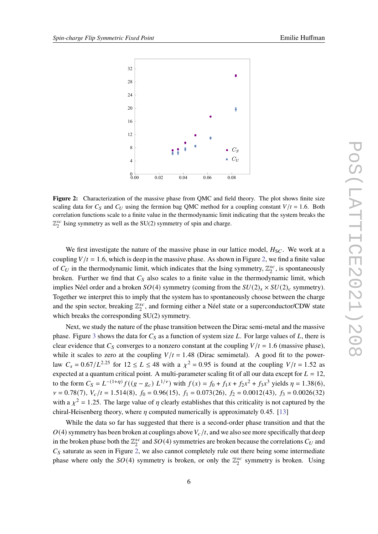<span id="page-5-0"></span>

**Figure 2:** Characterization of the massive phase from QMC and field theory. The plot shows finite size scaling data for  $C_S$  and  $C_U$  using the fermion bag QMC method for a coupling constant  $V/t = 1.6$ . Both correlation functions scale to a finite value in the thermodynamic limit indicating that the system breaks the  $\mathbb{Z}_2^{sc}$  $^{sc}_{2}$  Ising symmetry as well as the SU(2) symmetry of spin and charge.

We first investigate the nature of the massive phase in our lattice model,  $H_{SC}$ . We work at a coupling  $V/t = 1.6$ , which is deep in the massive phase. As shown in Figure [2,](#page-5-0) we find a finite value of  $C_U$  in the thermodynamic limit, which indicates that the Ising symmetry,  $\mathbb{Z}_2^{sc}$  $z_2^{sc}$ , is spontaneously broken. Further we find that  $C_s$  also scales to a finite value in the thermodynamic limit, which implies Néel order and a broken  $SO(4)$  symmetry (coming from the  $SU(2)_{s} \times SU(2)_{c}$  symmetry). Together we interpret this to imply that the system has to spontaneously choose between the charge and the spin sector, breaking  $\mathbb{Z}_2^{sc}$  $z_2^{sc}$ , and forming either a Néel state or a superconductor/CDW state which breaks the corresponding SU(2) symmetry.

Next, we study the nature of the phase transition between the Dirac semi-metal and the massive phase. Figure [3](#page-6-0) shows the data for  $C_s$  as a function of system size L. For large values of L, there is clear evidence that  $C_s$  converges to a nonzero constant at the coupling  $V/t = 1.6$  (massive phase), while it scales to zero at the coupling  $V/t = 1.48$  (Dirac semimetal). A good fit to the powerlaw  $C_s = 0.67/L^{2.25}$  for  $12 \le L \le 48$  with a  $\chi^2 = 0.95$  is found at the coupling  $V/t = 1.52$  as expected at a quantum critical point. A multi-parameter scaling fit of all our data except for  $L = 12$ , to the form  $C_S = L^{-(1+\eta)} f((g - g_c) L^{1/\nu})$  with  $f(x) = f_0 + f_1 x + f_2 x^2 + f_3 x^3$  yields  $\eta = 1.38(6)$ ,  $v = 0.78(7)$ ,  $V_c/t = 1.514(8)$ ,  $f_0 = 0.96(15)$ ,  $f_1 = 0.073(26)$ ,  $f_2 = 0.0012(43)$ ,  $f_3 = 0.0026(32)$ with a  $\chi^2 = 1.25$ . The large value of  $\eta$  clearly establishes that this criticality is not captured by the chiral-Heisenberg theory, where  $\eta$  computed numerically is approximately 0.45. [\[13\]](#page-8-8)

While the data so far has suggested that there is a second-order phase transition and that the  $O(4)$  symmetry has been broken at couplings above  $V_c/t$ , and we also see more specifically that deep in the broken phase both the  $\mathbb{Z}_2^{sc}$  $^{sc}_{2}$  and  $SO(4)$  symmetries are broken because the correlations  $C_U$  and  $C<sub>S</sub>$  saturate as seen in Figure [2,](#page-5-0) we also cannot completely rule out there being some intermediate phase where only the  $SO(4)$  symmetry is broken, or only the  $\mathbb{Z}_2^{sc}$  $z_2^{sc}$  symmetry is broken. Using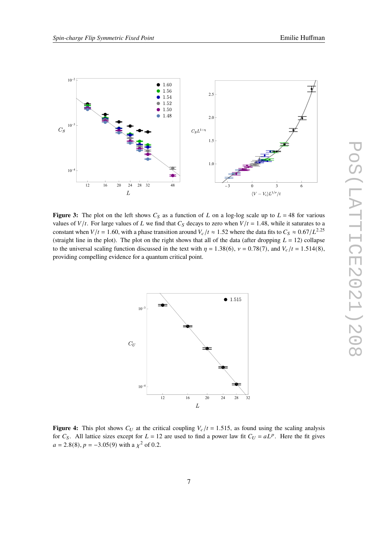<span id="page-6-0"></span>

**Figure 3:** The plot on the left shows  $C_S$  as a function of L on a log-log scale up to  $L = 48$  for various values of  $V/t$ . For large values of L we find that  $C_S$  decays to zero when  $V/t = 1.48$ , while it saturates to a constant when  $V/t = 1.60$ , with a phase transition around  $V_c/t \approx 1.52$  where the data fits to  $C_s \approx 0.67/L^{2.25}$ (straight line in the plot). The plot on the right shows that all of the data (after dropping  $L = 12$ ) collapse to the universal scaling function discussed in the text with  $\eta = 1.38(6)$ ,  $v = 0.78(7)$ , and  $V_c/t = 1.514(8)$ , providing compelling evidence for a quantum critical point.

<span id="page-6-1"></span>

**Figure 4:** This plot shows  $C_U$  at the critical coupling  $V_C/t = 1.515$ , as found using the scaling analysis for  $C_S$ . All lattice sizes except for  $L = 12$  are used to find a power law fit  $C_U = aL^p$ . Here the fit gives  $a = 2.8(8)$ ,  $p = -3.05(9)$  with a  $\chi^2$  of 0.2.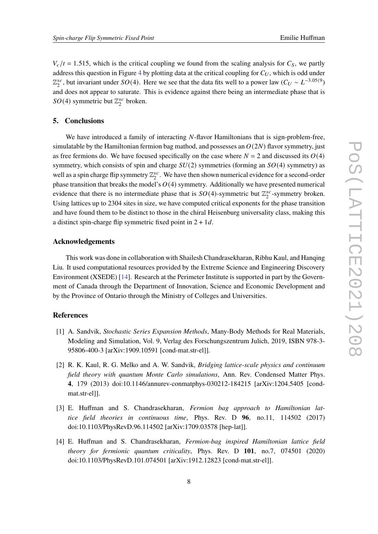$V_c/t = 1.515$ , which is the critical coupling we found from the scaling analysis for  $C_s$ , we partly address this question in Figure [4](#page-6-1) by plotting data at the critical coupling for  $C_U$ , which is odd under  $\mathbb{Z}_2^{sc}$  $_2^{sc}$ , but invariant under  $SO(4)$ . Here we see that the data fits well to a power law  $(C_U \sim L^{-3.05(9)})$ and does not appear to saturate. This is evidence against there being an intermediate phase that is  $SO(4)$  symmetric but  $\mathbb{Z}_2^{sc}$  $_2^{sc}$  broken.

### **5. Conclusions**

We have introduced a family of interacting  $N$ -flavor Hamiltonians that is sign-problem-free, simulatable by the Hamiltonian fermion bag mathod, and possesses an  $O(2N)$  flavor symmetry, just as free fermions do. We have focused specifically on the case where  $N = 2$  and discussed its  $O(4)$ symmetry, which consists of spin and charge  $SU(2)$  symmetries (forming an  $SO(4)$  symmetry) as well as a spin charge flip symmetry  $\mathbb{Z}_2^{sc}$  $_2^{sc}$ . We have then shown numerical evidence for a second-order phase transition that breaks the model's  $O(4)$  symmetry. Additionally we have presented numerical evidence that there is no intermediate phase that is  $SO(4)$ -symmetric but  $\mathbb{Z}_2^{sc}$  $\frac{csc}{2}$ -symmetry broken. Using lattices up to 2304 sites in size, we have computed critical exponents for the phase transition and have found them to be distinct to those in the chiral Heisenburg universality class, making this a distinct spin-charge flip symmetric fixed point in  $2 + 1d$ .

#### **Acknowledgements**

This work was done in collaboration with Shailesh Chandrasekharan, Ribhu Kaul, and Hanqing Liu. It used computational resources provided by the Extreme Science and Engineering Discovery Environment (XSEDE) [\[14\]](#page-8-9). Research at the Perimeter Institute is supported in part by the Government of Canada through the Department of Innovation, Science and Economic Development and by the Province of Ontario through the Ministry of Colleges and Universities.

## **References**

- <span id="page-7-0"></span>[1] A. Sandvik, *Stochastic Series Expansion Methods*, Many-Body Methods for Real Materials, Modeling and Simulation, Vol. 9, Verlag des Forschungszentrum Julich, 2019, ISBN 978-3- 95806-400-3 [arXiv:1909.10591 [cond-mat.str-el]].
- <span id="page-7-1"></span>[2] R. K. Kaul, R. G. Melko and A. W. Sandvik, *Bridging lattice-scale physics and continuum field theory with quantum Monte Carlo simulations*, Ann. Rev. Condensed Matter Phys. **4**, 179 (2013) doi:10.1146/annurev-conmatphys-030212-184215 [arXiv:1204.5405 [condmat.str-el]].
- <span id="page-7-2"></span>[3] E. Huffman and S. Chandrasekharan, *Fermion bag approach to Hamiltonian lattice field theories in continuous time*, Phys. Rev. D **96**, no.11, 114502 (2017) doi:10.1103/PhysRevD.96.114502 [arXiv:1709.03578 [hep-lat]].
- <span id="page-7-3"></span>[4] E. Huffman and S. Chandrasekharan, *Fermion-bag inspired Hamiltonian lattice field theory for fermionic quantum criticality*, Phys. Rev. D **101**, no.7, 074501 (2020) doi:10.1103/PhysRevD.101.074501 [arXiv:1912.12823 [cond-mat.str-el]].